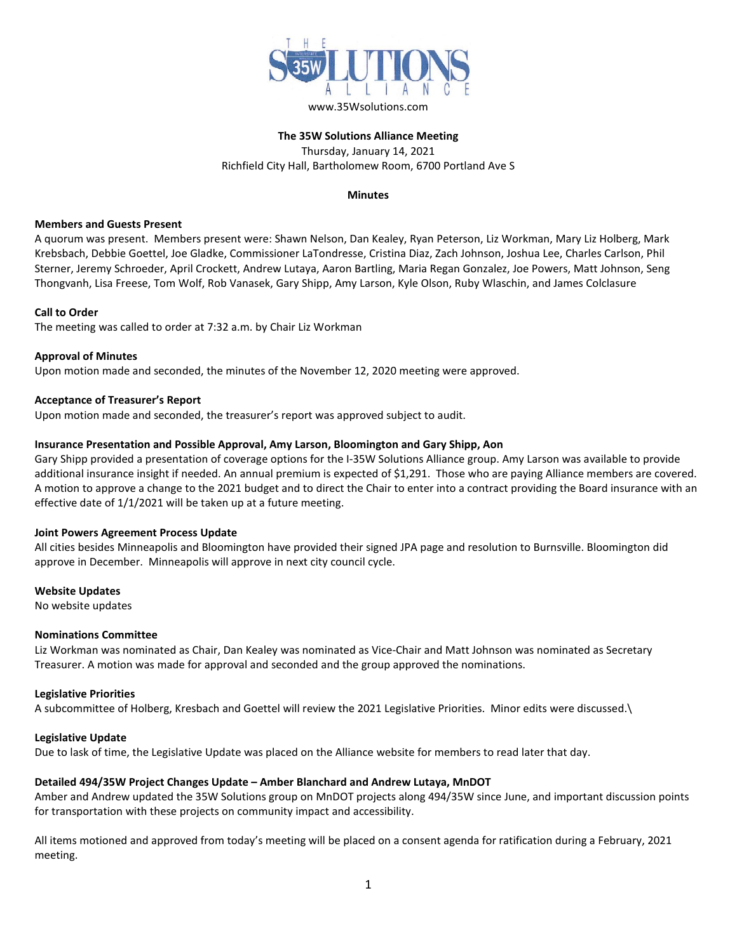

# **The 35W Solutions Alliance Meeting** Thursday, January 14, 2021 Richfield City Hall, Bartholomew Room, 6700 Portland Ave S

## **Minutes**

#### **Members and Guests Present**

A quorum was present. Members present were: Shawn Nelson, Dan Kealey, Ryan Peterson, Liz Workman, Mary Liz Holberg, Mark Krebsbach, Debbie Goettel, Joe Gladke, Commissioner LaTondresse, Cristina Diaz, Zach Johnson, Joshua Lee, Charles Carlson, Phil Sterner, Jeremy Schroeder, April Crockett, Andrew Lutaya, Aaron Bartling, Maria Regan Gonzalez, Joe Powers, Matt Johnson, Seng Thongvanh, Lisa Freese, Tom Wolf, Rob Vanasek, Gary Shipp, Amy Larson, Kyle Olson, Ruby Wlaschin, and James Colclasure

## **Call to Order**

The meeting was called to order at 7:32 a.m. by Chair Liz Workman

# **Approval of Minutes**

Upon motion made and seconded, the minutes of the November 12, 2020 meeting were approved.

## **Acceptance of Treasurer's Report**

Upon motion made and seconded, the treasurer's report was approved subject to audit.

#### **Insurance Presentation and Possible Approval, Amy Larson, Bloomington and Gary Shipp, Aon**

Gary Shipp provided a presentation of coverage options for the I-35W Solutions Alliance group. Amy Larson was available to provide additional insurance insight if needed. An annual premium is expected of \$1,291. Those who are paying Alliance members are covered. A motion to approve a change to the 2021 budget and to direct the Chair to enter into a contract providing the Board insurance with an effective date of 1/1/2021 will be taken up at a future meeting.

#### **Joint Powers Agreement Process Update**

All cities besides Minneapolis and Bloomington have provided their signed JPA page and resolution to Burnsville. Bloomington did approve in December. Minneapolis will approve in next city council cycle.

## **Website Updates**

No website updates

#### **Nominations Committee**

Liz Workman was nominated as Chair, Dan Kealey was nominated as Vice-Chair and Matt Johnson was nominated as Secretary Treasurer. A motion was made for approval and seconded and the group approved the nominations.

#### **Legislative Priorities**

A subcommittee of Holberg, Kresbach and Goettel will review the 2021 Legislative Priorities. Minor edits were discussed.\

#### **Legislative Update**

Due to lask of time, the Legislative Update was placed on the Alliance website for members to read later that day.

## **Detailed 494/35W Project Changes Update – Amber Blanchard and Andrew Lutaya, MnDOT**

Amber and Andrew updated the 35W Solutions group on MnDOT projects along 494/35W since June, and important discussion points for transportation with these projects on community impact and accessibility.

All items motioned and approved from today's meeting will be placed on a consent agenda for ratification during a February, 2021 meeting.